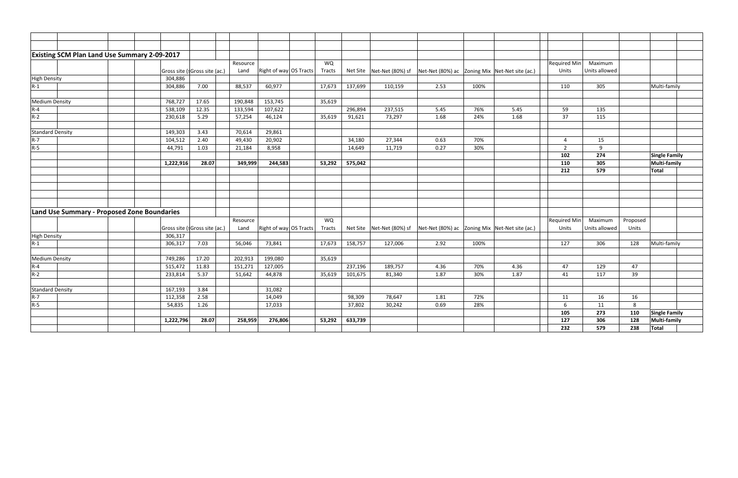|                         | <b>Existing SCM Plan Land Use Summary 2-09-2017</b> |                               |          |                        |           |         |                                                                                  |                                                |      |      |                |               |          |                      |
|-------------------------|-----------------------------------------------------|-------------------------------|----------|------------------------|-----------|---------|----------------------------------------------------------------------------------|------------------------------------------------|------|------|----------------|---------------|----------|----------------------|
|                         |                                                     |                               | Resource |                        | WQ        |         |                                                                                  |                                                |      |      | Required Min   | Maximum       |          |                      |
|                         |                                                     | Gross site (sGross site (ac.) | Land     | Right of way OS Tracts | Tracts    |         | Net Site   Net-Net (80%) sf   Net-Net (80%) ac   Zoning Mix   Net-Net site (ac.) |                                                |      |      | Units          | Units allowed |          |                      |
| <b>High Density</b>     | 304,886                                             |                               |          |                        |           |         |                                                                                  |                                                |      |      |                |               |          |                      |
| $R-1$                   | 304,886                                             | 7.00                          | 88,537   | 60,977                 | 17,673    | 137,699 | 110,159                                                                          | 2.53                                           | 100% |      | 110            | 305           |          | Multi-family         |
|                         |                                                     |                               |          |                        |           |         |                                                                                  |                                                |      |      |                |               |          |                      |
| <b>Medium Density</b>   | 768,727                                             | 17.65                         | 190,848  | 153,745                | 35,619    |         |                                                                                  |                                                |      |      |                |               |          |                      |
| $R-4$                   | 538,109                                             | 12.35                         | 133,594  | 107,622                |           | 296,894 | 237,515                                                                          | 5.45                                           | 76%  | 5.45 | 59             | 135           |          |                      |
| $R-2$                   | 230,618                                             | 5.29                          | 57,254   | 46,124                 | 35,619    | 91,621  | 73,297                                                                           | 1.68                                           | 24%  | 1.68 | 37             | 115           |          |                      |
|                         |                                                     |                               |          |                        |           |         |                                                                                  |                                                |      |      |                |               |          |                      |
| <b>Standard Density</b> | 149,303                                             | 3.43                          | 70,614   | 29,861                 |           |         |                                                                                  |                                                |      |      |                |               |          |                      |
| $R-7$                   | 104,512                                             | 2.40                          | 49,430   | 20,902                 |           | 34,180  | 27,344                                                                           | 0.63                                           | 70%  |      | 4              | 15            |          |                      |
| $R-5$                   | 44,791                                              | 1.03                          | 21,184   | 8,958                  |           | 14,649  | 11,719                                                                           | 0.27                                           | 30%  |      | $\overline{2}$ | 9             |          |                      |
|                         |                                                     |                               |          |                        |           |         |                                                                                  |                                                |      |      | 102            | 274           |          | <b>Single Family</b> |
|                         | 1,222,916                                           | 28.07                         | 349,999  | 244,583                | 53,292    | 575,042 |                                                                                  |                                                |      |      | 110            | 305           |          | <b>Multi-family</b>  |
|                         |                                                     |                               |          |                        |           |         |                                                                                  |                                                |      |      | 212            | 579           |          | <b>Total</b>         |
|                         |                                                     |                               |          |                        |           |         |                                                                                  |                                                |      |      |                |               |          |                      |
|                         |                                                     |                               |          |                        |           |         |                                                                                  |                                                |      |      |                |               |          |                      |
|                         |                                                     |                               |          |                        |           |         |                                                                                  |                                                |      |      |                |               |          |                      |
|                         |                                                     |                               |          |                        |           |         |                                                                                  |                                                |      |      |                |               |          |                      |
|                         | Land Use Summary - Proposed Zone Boundaries         |                               |          |                        |           |         |                                                                                  |                                                |      |      |                |               |          |                      |
|                         |                                                     |                               | Resource |                        | <b>WQ</b> |         |                                                                                  |                                                |      |      | Required Min   | Maximum       | Proposed |                      |
|                         |                                                     | Gross site (sGross site (ac.) | Land     | Right of way OS Tracts | Tracts    |         | Net Site Net-Net (80%) sf                                                        | Net-Net (80%) ac Zoning Mix Net-Net site (ac.) |      |      | Units          | Units allowed | Units    |                      |
| <b>High Density</b>     | 306,317                                             |                               |          |                        |           |         |                                                                                  |                                                |      |      |                |               |          |                      |
| $R-1$                   | 306,317                                             | 7.03                          | 56,046   | 73,841                 | 17,673    | 158,757 | 127,006                                                                          | 2.92                                           | 100% |      | 127            | 306           | 128      | Multi-family         |
|                         |                                                     |                               |          |                        |           |         |                                                                                  |                                                |      |      |                |               |          |                      |
| <b>Medium Density</b>   | 749,286                                             | 17.20                         | 202,913  | 199,080                | 35,619    |         |                                                                                  |                                                |      |      |                |               |          |                      |
| $R-4$                   | 515,472                                             | 11.83                         | 151,271  | 127,005                |           | 237,196 | 189,757                                                                          | 4.36                                           | 70%  | 4.36 | 47             | 129           | 47       |                      |
| $R-2$                   | 233,814                                             | 5.37                          | 51,642   | 44,878                 | 35,619    | 101,675 | 81,340                                                                           | 1.87                                           | 30%  | 1.87 | 41             | 117           | 39       |                      |
|                         |                                                     |                               |          |                        |           |         |                                                                                  |                                                |      |      |                |               |          |                      |
| <b>Standard Density</b> | 167,193                                             | 3.84                          |          | 31,082                 |           |         |                                                                                  |                                                |      |      |                |               |          |                      |
| $R - 7$                 | 112,358                                             | 2.58                          |          | 14,049                 |           | 98,309  | 78,647                                                                           | 1.81                                           | 72%  |      | 11             | 16            | 16       |                      |
| $R-5$                   | 54,835                                              | 1.26                          |          | 17,033                 |           | 37,802  | 30,242                                                                           | 0.69                                           | 28%  |      | 6              | 11            | 8        |                      |
|                         |                                                     |                               |          |                        |           |         |                                                                                  |                                                |      |      | 105            | 273           | 110      | Single Family        |
|                         | 1,222,796                                           | 28.07                         | 258,959  | 276,806                | 53,292    | 633,739 |                                                                                  |                                                |      |      | 127            | 306           | 128      | <b>Multi-family</b>  |
|                         |                                                     |                               |          |                        |           |         |                                                                                  |                                                |      |      | 232            | 579           | 238      | Total                |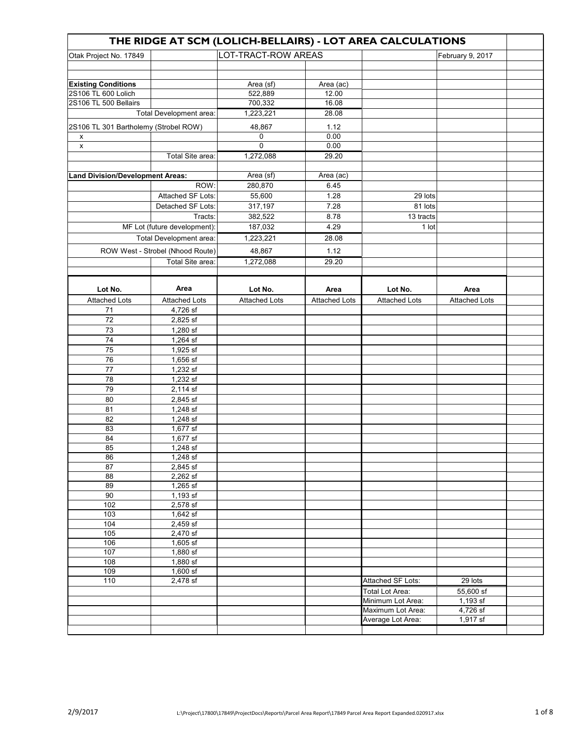| THE RIDGE AT SCM (LOLICH-BELLAIRS) - LOT AREA CALCULATIONS |                                  |                      |                      |                        |                      |  |  |  |
|------------------------------------------------------------|----------------------------------|----------------------|----------------------|------------------------|----------------------|--|--|--|
| Otak Project No. 17849                                     |                                  | LOT-TRACT-ROW AREAS  |                      |                        | February 9, 2017     |  |  |  |
|                                                            |                                  |                      |                      |                        |                      |  |  |  |
|                                                            |                                  |                      |                      |                        |                      |  |  |  |
| <b>Existing Conditions</b>                                 |                                  | Area (sf)            | Area (ac)            |                        |                      |  |  |  |
| 2S106 TL 600 Lolich                                        |                                  | 522,889              | 12.00                |                        |                      |  |  |  |
| 2S106 TL 500 Bellairs                                      |                                  | 700,332              | 16.08                |                        |                      |  |  |  |
|                                                            | Total Development area:          | 1,223,221            | 28.08                |                        |                      |  |  |  |
|                                                            |                                  |                      |                      |                        |                      |  |  |  |
| 2S106 TL 301 Bartholemy (Strobel ROW)                      |                                  | 48,867               | 1.12                 |                        |                      |  |  |  |
| X                                                          |                                  | 0                    | 0.00                 |                        |                      |  |  |  |
| $\pmb{\mathsf{x}}$                                         |                                  | $\mathbf 0$          | 0.00                 |                        |                      |  |  |  |
|                                                            | Total Site area:                 | 1,272,088            | 29.20                |                        |                      |  |  |  |
|                                                            |                                  |                      |                      |                        |                      |  |  |  |
| <b>Land Division/Development Areas:</b>                    |                                  | Area (sf)            | Area (ac)            |                        |                      |  |  |  |
|                                                            | ROW:                             | 280,870              | 6.45                 |                        |                      |  |  |  |
|                                                            | Attached SF Lots:                | 55,600               | 1.28                 | 29 lots                |                      |  |  |  |
|                                                            | Detached SF Lots:                | 317,197              | 7.28                 | 81 lots                |                      |  |  |  |
|                                                            | Tracts:                          | 382,522              | 8.78                 | 13 tracts              |                      |  |  |  |
|                                                            | MF Lot (future development):     | 187,032              | 4.29                 | 1 lot                  |                      |  |  |  |
|                                                            | Total Development area:          | 1,223,221            | 28.08                |                        |                      |  |  |  |
|                                                            | ROW West - Strobel (Nhood Route) | 48,867               | 1.12                 |                        |                      |  |  |  |
|                                                            | Total Site area:                 | 1,272,088            | 29.20                |                        |                      |  |  |  |
|                                                            |                                  |                      |                      |                        |                      |  |  |  |
|                                                            |                                  |                      |                      |                        |                      |  |  |  |
| Lot No.                                                    | Area                             | Lot No.              | Area                 | Lot No.                | Area                 |  |  |  |
| <b>Attached Lots</b>                                       | <b>Attached Lots</b>             | <b>Attached Lots</b> | <b>Attached Lots</b> | <b>Attached Lots</b>   | <b>Attached Lots</b> |  |  |  |
| 71                                                         | 4,726 sf                         |                      |                      |                        |                      |  |  |  |
| 72                                                         | 2,825 sf                         |                      |                      |                        |                      |  |  |  |
| 73                                                         | 1,280 sf                         |                      |                      |                        |                      |  |  |  |
| 74                                                         | 1,264 sf                         |                      |                      |                        |                      |  |  |  |
| 75                                                         | 1,925 sf                         |                      |                      |                        |                      |  |  |  |
| 76                                                         | $1,656$ sf                       |                      |                      |                        |                      |  |  |  |
| 77                                                         | 1,232 sf                         |                      |                      |                        |                      |  |  |  |
| 78                                                         | 1,232 sf                         |                      |                      |                        |                      |  |  |  |
| 79                                                         | 2,114 sf                         |                      |                      |                        |                      |  |  |  |
| 80                                                         | 2,845 sf                         |                      |                      |                        |                      |  |  |  |
| 81                                                         | 1,248 sf                         |                      |                      |                        |                      |  |  |  |
| 82                                                         | 1,248 sf                         |                      |                      |                        |                      |  |  |  |
| 83                                                         | 1,677 sf                         |                      |                      |                        |                      |  |  |  |
| 84                                                         | 1,677 sf                         |                      |                      |                        |                      |  |  |  |
| 85                                                         | 1,248 sf                         |                      |                      |                        |                      |  |  |  |
| 86                                                         | 1,248 sf                         |                      |                      |                        |                      |  |  |  |
| 87                                                         | $2,845$ sf                       |                      |                      |                        |                      |  |  |  |
| $\overline{88}$                                            | $2,262$ sf                       |                      |                      |                        |                      |  |  |  |
| 89                                                         | $1,265$ sf                       |                      |                      |                        |                      |  |  |  |
| 90                                                         | $1,193$ sf                       |                      |                      |                        |                      |  |  |  |
| 102                                                        | 2,578 sf                         |                      |                      |                        |                      |  |  |  |
| 103                                                        | $1,642$ sf                       |                      |                      |                        |                      |  |  |  |
| 104                                                        | $2,459$ sf                       |                      |                      |                        |                      |  |  |  |
| $\frac{105}{2}$                                            | $2,470$ sf                       |                      |                      |                        |                      |  |  |  |
| 106                                                        | $1,605$ sf                       |                      |                      |                        |                      |  |  |  |
| 107                                                        | $1,880$ sf                       |                      |                      |                        |                      |  |  |  |
| 108                                                        | $1,880$ sf                       |                      |                      |                        |                      |  |  |  |
| 109                                                        | $1,600$ sf                       |                      |                      |                        |                      |  |  |  |
| 110                                                        | 2,478 sf                         |                      |                      | Attached SF Lots:      | 29 lots              |  |  |  |
|                                                            |                                  |                      |                      | <b>Total Lot Area:</b> | 55,600 sf            |  |  |  |
|                                                            |                                  |                      |                      | Minimum Lot Area:      | $1,193$ sf           |  |  |  |
|                                                            |                                  |                      |                      | Maximum Lot Area:      | 4,726 sf             |  |  |  |
|                                                            |                                  |                      |                      | Average Lot Area:      | $1,917$ sf           |  |  |  |
|                                                            |                                  |                      |                      |                        |                      |  |  |  |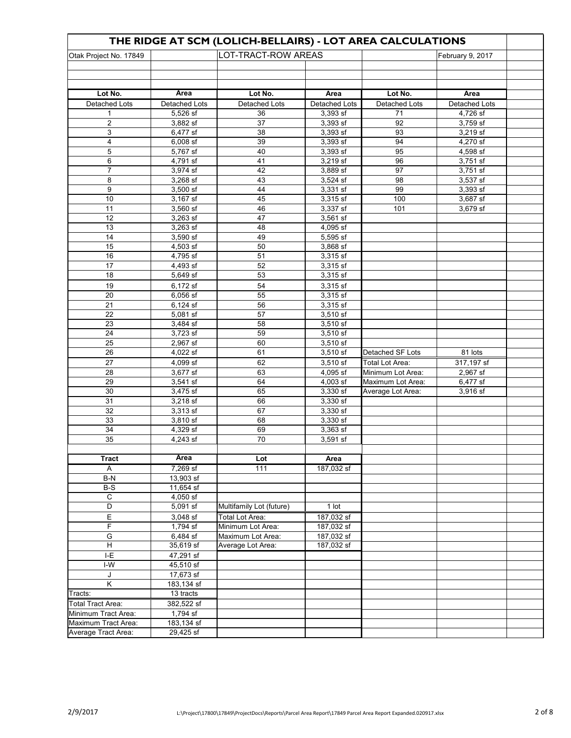| THE RIDGE AT SCM (LOLICH-BELLAIRS) - LOT AREA CALCULATIONS        |                      |                          |                       |                          |                       |  |  |
|-------------------------------------------------------------------|----------------------|--------------------------|-----------------------|--------------------------|-----------------------|--|--|
| LOT-TRACT-ROW AREAS<br>Otak Project No. 17849<br>February 9, 2017 |                      |                          |                       |                          |                       |  |  |
|                                                                   |                      |                          |                       |                          |                       |  |  |
|                                                                   |                      |                          |                       |                          |                       |  |  |
|                                                                   | Area                 |                          |                       |                          |                       |  |  |
| Lot No.<br>Detached Lots                                          | Detached Lots        | Lot No.<br>Detached Lots | Area<br>Detached Lots | Lot No.<br>Detached Lots | Area<br>Detached Lots |  |  |
| 1                                                                 | 5,526 sf             | 36                       | 3,393 sf              | 71                       | 4,726 sf              |  |  |
| $\overline{2}$                                                    | 3,882 sf             | 37                       | 3,393 sf              | 92                       | 3,759 sf              |  |  |
| 3                                                                 | 6,477 sf             | 38                       | 3,393 sf              | 93                       | 3,219 sf              |  |  |
| 4                                                                 | 6,008 sf             | 39                       | 3,393 sf              | 94                       | 4,270 sf              |  |  |
| 5                                                                 | 5,767 sf             | 40                       | 3,393 sf              | 95                       | 4,598 sf              |  |  |
| 6                                                                 | 4,791 sf             | 41                       | 3,219 sf              | 96                       | 3,751 sf              |  |  |
| $\overline{7}$                                                    | 3,974 sf             | 42                       | 3,889 sf              | 97                       | 3,751 sf              |  |  |
| 8                                                                 | 3,268 sf             | 43                       | 3,524 sf              | 98                       | 3,537 sf              |  |  |
| 9                                                                 | 3,500 sf             | 44                       | 3,331 sf              | 99                       | 3,393 sf              |  |  |
| 10                                                                | 3,167 sf             | 45                       | 3,315 sf              | 100                      | 3,687 sf              |  |  |
| 11                                                                | 3,560 sf             | 46                       | 3,337 sf              | 101                      | 3,679 sf              |  |  |
| 12                                                                | $3,263$ sf           | 47                       | 3,561 sf              |                          |                       |  |  |
| 13                                                                | 3,263 sf             | 48                       | 4,095 sf              |                          |                       |  |  |
| 14                                                                | 3.590 sf             | 49                       | 5,595 sf              |                          |                       |  |  |
| 15                                                                | 4,503 sf             | 50                       | 3,868 sf              |                          |                       |  |  |
| 16                                                                | 4,795 sf             | 51                       | 3,315 sf              |                          |                       |  |  |
| $\overline{17}$                                                   | 4,493 sf             | $\overline{52}$          | 3,315 sf              |                          |                       |  |  |
| 18                                                                | 5,649 sf             | 53                       | 3,315 sf              |                          |                       |  |  |
| 19                                                                | 6,172 sf             | 54                       | 3,315 sf              |                          |                       |  |  |
| 20                                                                | 6,056 sf             | 55                       | 3,315 sf              |                          |                       |  |  |
| 21                                                                | 6,124 sf             | 56                       | 3,315 sf              |                          |                       |  |  |
| 22                                                                | 5,081 sf             | 57                       | 3,510 sf              |                          |                       |  |  |
| 23                                                                | 3,484 sf             | 58                       | 3,510 sf              |                          |                       |  |  |
| 24                                                                | 3,723 sf             | 59                       | $3,510$ sf            |                          |                       |  |  |
| 25                                                                | 2,967 sf             | 60                       | 3,510 sf              |                          |                       |  |  |
| 26                                                                | 4,022 sf             | 61                       | $3,510$ sf            | Detached SF Lots         | 81 lots               |  |  |
| 27                                                                | 4,099 sf             | 62                       | 3,510 sf              | Total Lot Area:          | 317,197 sf            |  |  |
| 28                                                                | 3,677 sf             | 63                       | 4,095 sf              | Minimum Lot Area:        | 2,967 sf              |  |  |
| 29                                                                | $3,541$ sf           | 64                       | 4,003 sf              | Maximum Lot Area:        | 6,477 sf              |  |  |
| 30                                                                | 3,475 sf             | 65                       | 3,330 sf              | Average Lot Area:        | 3,916 sf              |  |  |
| 31<br>32                                                          | 3,218 sf<br>3,313 sf | 66<br>67                 | 3,330 sf<br>3,330 sf  |                          |                       |  |  |
| 33                                                                | 3,810 sf             | 68                       | 3,330 sf              |                          |                       |  |  |
| 34                                                                | 4,329 sf             | 69                       | 3,363 sf              |                          |                       |  |  |
| 35                                                                | 4,243 sf             | 70                       | 3,591 sf              |                          |                       |  |  |
|                                                                   |                      |                          |                       |                          |                       |  |  |
| <b>Tract</b>                                                      | Area                 | Lot                      | Area                  |                          |                       |  |  |
| A                                                                 | 7,269 sf             | 111                      | 187,032 sf            |                          |                       |  |  |
| $B-N$                                                             | 13,903 sf            |                          |                       |                          |                       |  |  |
| $B-S$                                                             | 11,654 sf            |                          |                       |                          |                       |  |  |
| $\mathsf C$                                                       | 4,050 sf             |                          |                       |                          |                       |  |  |
| D                                                                 | 5,091 sf             | Multifamily Lot (future) | 1 lot                 |                          |                       |  |  |
| Е                                                                 | 3,048 sf             | Total Lot Area:          | 187,032 sf            |                          |                       |  |  |
| F                                                                 | 1,794 sf             | Minimum Lot Area:        | 187,032 sf            |                          |                       |  |  |
| G                                                                 | 6,484 sf             | Maximum Lot Area:        | 187,032 sf            |                          |                       |  |  |
| Н                                                                 | 35,619 sf            | Average Lot Area:        | 187,032 sf            |                          |                       |  |  |
| I-E                                                               | 47,291 sf            |                          |                       |                          |                       |  |  |
| $I-W$                                                             | 45,510 sf            |                          |                       |                          |                       |  |  |
| J                                                                 | 17,673 sf            |                          |                       |                          |                       |  |  |
| Κ                                                                 | 183,134 sf           |                          |                       |                          |                       |  |  |
| Tracts:                                                           | 13 tracts            |                          |                       |                          |                       |  |  |
| <b>Total Tract Area:</b>                                          | 382,522 sf           |                          |                       |                          |                       |  |  |
| Minimum Tract Area:                                               | 1,794 sf             |                          |                       |                          |                       |  |  |
| Maximum Tract Area:                                               | 183,134 sf           |                          |                       |                          |                       |  |  |
| Average Tract Area:                                               | 29,425 sf            |                          |                       |                          |                       |  |  |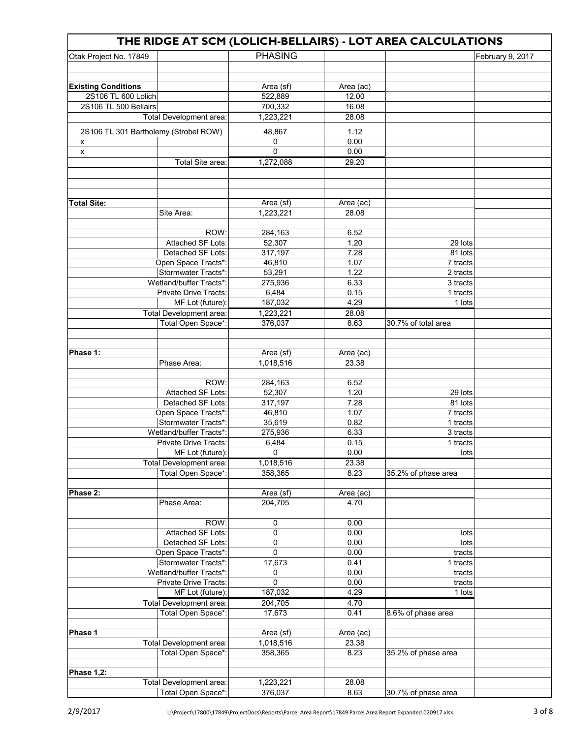| THE RIDGE AT SCM (LOLICH-BELLAIRS) - LOT AREA CALCULATIONS |                                               |                      |               |                      |                  |  |  |
|------------------------------------------------------------|-----------------------------------------------|----------------------|---------------|----------------------|------------------|--|--|
| Otak Project No. 17849                                     |                                               | <b>PHASING</b>       |               |                      | February 9, 2017 |  |  |
|                                                            |                                               |                      |               |                      |                  |  |  |
|                                                            |                                               |                      |               |                      |                  |  |  |
| <b>Existing Conditions</b>                                 |                                               | Area (sf)            | Area (ac)     |                      |                  |  |  |
| 2S106 TL 600 Lolich                                        |                                               | 522,889              | 12.00         |                      |                  |  |  |
| 2S106 TL 500 Bellairs                                      |                                               | 700,332              | 16.08         |                      |                  |  |  |
|                                                            | Total Development area:                       | 1,223,221            | 28.08         |                      |                  |  |  |
| 2S106 TL 301 Bartholemy (Strobel ROW)                      |                                               | 48,867               | 1.12          |                      |                  |  |  |
| x                                                          |                                               | 0                    | 0.00          |                      |                  |  |  |
| x                                                          |                                               | 0                    | 0.00          |                      |                  |  |  |
|                                                            | Total Site area:                              | 1,272,088            | 29.20         |                      |                  |  |  |
|                                                            |                                               |                      |               |                      |                  |  |  |
|                                                            |                                               |                      |               |                      |                  |  |  |
|                                                            |                                               |                      |               |                      |                  |  |  |
| <b>Total Site:</b>                                         |                                               | Area (sf)            | Area (ac)     |                      |                  |  |  |
|                                                            | Site Area:                                    | 1,223,221            | 28.08         |                      |                  |  |  |
|                                                            |                                               |                      |               |                      |                  |  |  |
|                                                            | ROW:                                          | 284,163              | 6.52          |                      |                  |  |  |
|                                                            | Attached SF Lots:                             | 52,307               | 1.20          | 29 lots              |                  |  |  |
|                                                            | Detached SF Lots:                             | 317,197              | 7.28          | 81 lots              |                  |  |  |
|                                                            | Open Space Tracts*:                           | 46,810               | 1.07          | 7 tracts             |                  |  |  |
|                                                            | Stormwater Tracts*:                           | 53,291               | 1.22          | 2 tracts             |                  |  |  |
|                                                            | Wetland/buffer Tracts*:                       | 275,936              | 6.33          | 3 tracts             |                  |  |  |
|                                                            | Private Drive Tracts:                         | 6,484                | 0.15          | 1 tracts             |                  |  |  |
|                                                            | MF Lot (future):                              | 187,032              | 4.29          | 1 lots               |                  |  |  |
|                                                            | Total Development area:                       | 1,223,221            | 28.08         |                      |                  |  |  |
|                                                            | Total Open Space*:                            | 376,037              | 8.63          | 30.7% of total area  |                  |  |  |
|                                                            |                                               |                      |               |                      |                  |  |  |
|                                                            |                                               |                      |               |                      |                  |  |  |
| Phase 1:                                                   |                                               | Area (sf)            | Area (ac)     |                      |                  |  |  |
|                                                            | Phase Area:                                   | 1,018,516            | 23.38         |                      |                  |  |  |
|                                                            |                                               |                      |               |                      |                  |  |  |
|                                                            | ROW:                                          | 284,163              | 6.52          |                      |                  |  |  |
|                                                            | Attached SF Lots:                             | 52,307               | 1.20          | 29 lots              |                  |  |  |
|                                                            | Detached SF Lots:                             | 317,197              | 7.28          | $\overline{8}1$ lots |                  |  |  |
|                                                            | Open Space Tracts*:                           | 46,810               | 1.07          | 7 tracts             |                  |  |  |
|                                                            | Stormwater Tracts*:                           | 35,619               | 0.82          | 1 tracts             |                  |  |  |
|                                                            | Wetland/buffer Tracts*:                       | 275,936              | 6.33          | 3 tracts             |                  |  |  |
|                                                            | Private Drive Tracts:                         | 6,484                | 0.15<br>0.00  | 1 tracts<br>lots     |                  |  |  |
|                                                            | $\overline{\mathsf{MF}}$ Lot (future):        | 0                    |               |                      |                  |  |  |
|                                                            | Total Development area:<br>Total Open Space*: | 1,018,516<br>358,365 | 23.38<br>8.23 |                      |                  |  |  |
|                                                            |                                               |                      |               | 35.2% of phase area  |                  |  |  |
| Phase 2:                                                   |                                               | Area (sf)            | Area (ac)     |                      |                  |  |  |
|                                                            | Phase Area:                                   | 204,705              | 4.70          |                      |                  |  |  |
|                                                            |                                               |                      |               |                      |                  |  |  |
|                                                            | ROW:                                          | 0                    | 0.00          |                      |                  |  |  |
|                                                            | Attached SF Lots:                             | 0                    | 0.00          | lots                 |                  |  |  |
|                                                            | Detached SF Lots:                             | 0                    | 0.00          | lots                 |                  |  |  |
|                                                            | Open Space Tracts*:                           | 0                    | 0.00          | tracts               |                  |  |  |
|                                                            | Stormwater Tracts*:                           | 17,673               | 0.41          | 1 tracts             |                  |  |  |
|                                                            | Wetland/buffer Tracts*:                       | 0                    | 0.00          | tracts               |                  |  |  |
|                                                            | Private Drive Tracts:                         | 0                    | 0.00          | tracts               |                  |  |  |
|                                                            | MF Lot (future):                              | 187,032              | 4.29          | 1 lots               |                  |  |  |
|                                                            | Total Development area:                       | 204,705              | 4.70          |                      |                  |  |  |
|                                                            | Total Open Space*:                            | 17,673               | 0.41          | 8.6% of phase area   |                  |  |  |
|                                                            |                                               |                      |               |                      |                  |  |  |
| Phase 1                                                    |                                               | Area (sf)            | Area (ac)     |                      |                  |  |  |
|                                                            | Total Development area:                       | 1,018,516            | 23.38         |                      |                  |  |  |
|                                                            | Total Open Space*:                            | 358,365              | 8.23          | 35.2% of phase area  |                  |  |  |
|                                                            |                                               |                      |               |                      |                  |  |  |
| <b>Phase 1,2:</b>                                          |                                               |                      |               |                      |                  |  |  |
|                                                            | Total Development area:                       | 1,223,221            | 28.08         |                      |                  |  |  |
|                                                            | Total Open Space*:                            | 376,037              | 8.63          | 30.7% of phase area  |                  |  |  |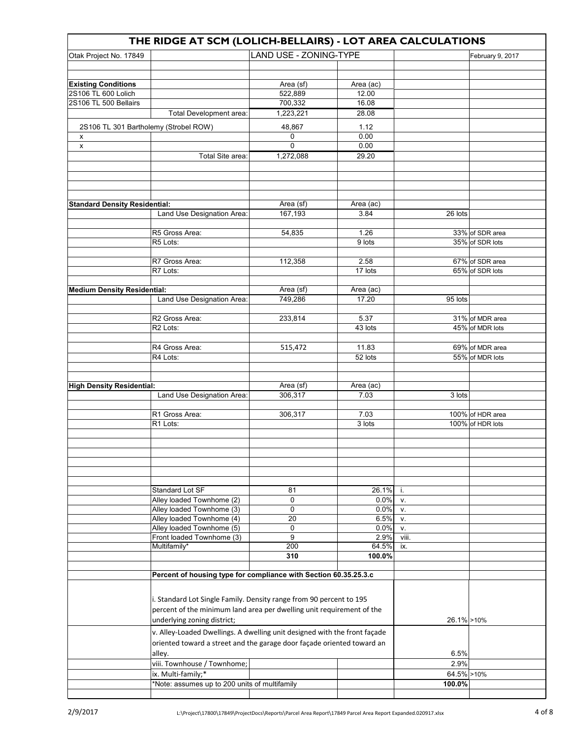| THE RIDGE AT SCM (LOLICH-BELLAIRS) - LOT AREA CALCULATIONS |                                                                           |                        |                 |             |                  |  |  |  |  |
|------------------------------------------------------------|---------------------------------------------------------------------------|------------------------|-----------------|-------------|------------------|--|--|--|--|
| Otak Project No. 17849                                     |                                                                           | LAND USE - ZONING-TYPE |                 |             | February 9, 2017 |  |  |  |  |
|                                                            |                                                                           |                        |                 |             |                  |  |  |  |  |
|                                                            |                                                                           |                        |                 |             |                  |  |  |  |  |
| <b>Existing Conditions</b>                                 |                                                                           | Area (sf)              | Area (ac)       |             |                  |  |  |  |  |
| 2S106 TL 600 Lolich                                        |                                                                           | 522,889                | 12.00           |             |                  |  |  |  |  |
| 2S106 TL 500 Bellairs                                      |                                                                           | 700,332                | 16.08           |             |                  |  |  |  |  |
|                                                            | Total Development area:                                                   | 1,223,221              | 28.08           |             |                  |  |  |  |  |
| 2S106 TL 301 Bartholemy (Strobel ROW)                      |                                                                           | 48,867                 | 1.12            |             |                  |  |  |  |  |
| x                                                          |                                                                           | 0                      | 0.00            |             |                  |  |  |  |  |
| x                                                          |                                                                           | 0                      | 0.00            |             |                  |  |  |  |  |
|                                                            | Total Site area:                                                          | 1,272,088              | 29.20           |             |                  |  |  |  |  |
|                                                            |                                                                           |                        |                 |             |                  |  |  |  |  |
|                                                            |                                                                           |                        |                 |             |                  |  |  |  |  |
|                                                            |                                                                           |                        |                 |             |                  |  |  |  |  |
|                                                            |                                                                           |                        |                 |             |                  |  |  |  |  |
| <b>Standard Density Residential:</b>                       |                                                                           | Area (sf)              | Area (ac)       |             |                  |  |  |  |  |
|                                                            | Land Use Designation Area:                                                | 167,193                | 3.84            | 26 lots     |                  |  |  |  |  |
|                                                            | R5 Gross Area:                                                            |                        |                 |             | 33% of SDR area  |  |  |  |  |
|                                                            | R5 Lots:                                                                  | 54,835                 | 1.26<br>9 lots  |             | 35% of SDR lots  |  |  |  |  |
|                                                            |                                                                           |                        |                 |             |                  |  |  |  |  |
|                                                            | R7 Gross Area:                                                            | 112,358                | 2.58            |             | 67% of SDR area  |  |  |  |  |
|                                                            | R7 Lots:                                                                  |                        | 17 lots         |             | 65% of SDR lots  |  |  |  |  |
|                                                            |                                                                           |                        |                 |             |                  |  |  |  |  |
| <b>Medium Density Residential:</b>                         |                                                                           | Area (sf)              | Area (ac)       |             |                  |  |  |  |  |
|                                                            | Land Use Designation Area:                                                | 749,286                | 17.20           | 95 lots     |                  |  |  |  |  |
|                                                            |                                                                           |                        |                 |             |                  |  |  |  |  |
|                                                            | R2 Gross Area:                                                            | 233,814                | 5.37            |             | 31% of MDR area  |  |  |  |  |
|                                                            | R <sub>2</sub> Lots:                                                      |                        | 43 lots         |             | 45% of MDR lots  |  |  |  |  |
|                                                            |                                                                           |                        |                 |             |                  |  |  |  |  |
|                                                            | R4 Gross Area:                                                            | 515,472                | 11.83           |             | 69% of MDR area  |  |  |  |  |
|                                                            | R4 Lots:                                                                  |                        | 52 lots         |             | 55% of MDR lots  |  |  |  |  |
|                                                            |                                                                           |                        |                 |             |                  |  |  |  |  |
|                                                            |                                                                           |                        |                 |             |                  |  |  |  |  |
| <b>High Density Residential:</b>                           |                                                                           | Area (sf)              | Area (ac)       |             |                  |  |  |  |  |
|                                                            | Land Use Designation Area:                                                | 306,317                | 7.03            | 3 lots      |                  |  |  |  |  |
|                                                            | R1 Gross Area:                                                            | 306,317                | 7.03            |             | 100% of HDR area |  |  |  |  |
|                                                            | R1 Lots:                                                                  |                        | 3 lots          |             | 100% of HDR lots |  |  |  |  |
|                                                            |                                                                           |                        |                 |             |                  |  |  |  |  |
|                                                            |                                                                           |                        |                 |             |                  |  |  |  |  |
|                                                            |                                                                           |                        |                 |             |                  |  |  |  |  |
|                                                            |                                                                           |                        |                 |             |                  |  |  |  |  |
|                                                            |                                                                           |                        |                 |             |                  |  |  |  |  |
|                                                            |                                                                           |                        |                 |             |                  |  |  |  |  |
|                                                            | Standard Lot SF                                                           | 81                     | 26.1%           | i.          |                  |  |  |  |  |
|                                                            | Alley loaded Townhome (2)                                                 | 0                      | 0.0%            | V.          |                  |  |  |  |  |
|                                                            | Alley loaded Townhome (3)                                                 | 0                      | 0.0%            | V.          |                  |  |  |  |  |
|                                                            | Alley loaded Townhome (4)                                                 | 20                     | 6.5%            | V.          |                  |  |  |  |  |
|                                                            | Alley loaded Townhome (5)                                                 | 0                      | 0.0%            | v.          |                  |  |  |  |  |
|                                                            | Front loaded Townhome (3)                                                 | 9                      | 2.9%            | viii.       |                  |  |  |  |  |
|                                                            | Multifamily*                                                              | 200                    | 64.5%<br>100.0% | ix.         |                  |  |  |  |  |
|                                                            |                                                                           | 310                    |                 |             |                  |  |  |  |  |
|                                                            |                                                                           |                        |                 |             |                  |  |  |  |  |
|                                                            | Percent of housing type for compliance with Section 60.35.25.3.c          |                        |                 |             |                  |  |  |  |  |
|                                                            |                                                                           |                        |                 |             |                  |  |  |  |  |
|                                                            | i. Standard Lot Single Family. Density range from 90 percent to 195       |                        |                 |             |                  |  |  |  |  |
|                                                            | percent of the minimum land area per dwelling unit requirement of the     |                        |                 |             |                  |  |  |  |  |
|                                                            | underlying zoning district;                                               |                        |                 | 26.1% > 10% |                  |  |  |  |  |
|                                                            | v. Alley-Loaded Dwellings. A dwelling unit designed with the front façade |                        |                 |             |                  |  |  |  |  |
|                                                            | oriented toward a street and the garage door façade oriented toward an    |                        |                 |             |                  |  |  |  |  |
|                                                            | alley.                                                                    |                        |                 | 6.5%        |                  |  |  |  |  |
|                                                            | viii. Townhouse / Townhome;                                               |                        |                 | 2.9%        |                  |  |  |  |  |
|                                                            | ix. Multi-family;*                                                        |                        |                 | 64.5% >10%  |                  |  |  |  |  |
|                                                            | *Note: assumes up to 200 units of multifamily                             |                        |                 | 100.0%      |                  |  |  |  |  |
|                                                            |                                                                           |                        |                 |             |                  |  |  |  |  |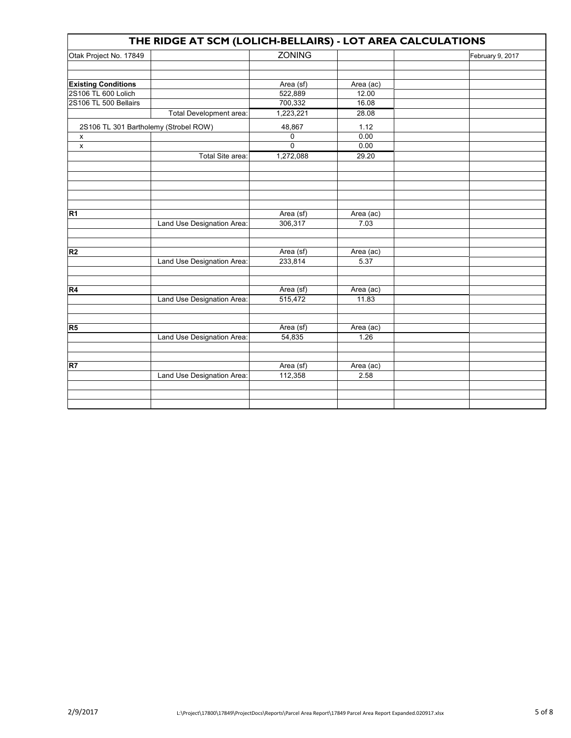| THE RIDGE AT SCM (LOLICH-BELLAIRS) - LOT AREA CALCULATIONS |                            |                     |                   |                  |  |  |  |  |
|------------------------------------------------------------|----------------------------|---------------------|-------------------|------------------|--|--|--|--|
| Otak Project No. 17849                                     |                            | <b>ZONING</b>       |                   | February 9, 2017 |  |  |  |  |
|                                                            |                            |                     |                   |                  |  |  |  |  |
|                                                            |                            |                     |                   |                  |  |  |  |  |
| <b>Existing Conditions</b>                                 |                            | Area (sf)           | Area (ac)         |                  |  |  |  |  |
| 2S106 TL 600 Lolich                                        |                            | 522,889             | 12.00             |                  |  |  |  |  |
| 2S106 TL 500 Bellairs                                      |                            | 700,332             | 16.08             |                  |  |  |  |  |
|                                                            | Total Development area:    | 1,223,221           | 28.08             |                  |  |  |  |  |
| 2S106 TL 301 Bartholemy (Strobel ROW)                      |                            | 48,867              | 1.12              |                  |  |  |  |  |
| X                                                          |                            | 0                   | 0.00              |                  |  |  |  |  |
| $\pmb{\mathsf{x}}$                                         |                            | $\overline{0}$      | 0.00              |                  |  |  |  |  |
|                                                            | Total Site area:           | 1,272,088           | 29.20             |                  |  |  |  |  |
|                                                            |                            |                     |                   |                  |  |  |  |  |
|                                                            |                            |                     |                   |                  |  |  |  |  |
|                                                            |                            |                     |                   |                  |  |  |  |  |
|                                                            |                            |                     |                   |                  |  |  |  |  |
|                                                            |                            |                     |                   |                  |  |  |  |  |
| R <sub>1</sub>                                             |                            | Area (sf)           | Area (ac)         |                  |  |  |  |  |
|                                                            | Land Use Designation Area: | 306,317             | 7.03              |                  |  |  |  |  |
|                                                            |                            |                     |                   |                  |  |  |  |  |
|                                                            |                            |                     |                   |                  |  |  |  |  |
| R <sub>2</sub>                                             |                            | Area (sf)           | Area (ac)         |                  |  |  |  |  |
|                                                            | Land Use Designation Area: | 233,814             | 5.37              |                  |  |  |  |  |
|                                                            |                            |                     |                   |                  |  |  |  |  |
|                                                            |                            |                     |                   |                  |  |  |  |  |
| R4                                                         |                            | Area (sf)           | Area (ac)         |                  |  |  |  |  |
|                                                            | Land Use Designation Area: | 515,472             | 11.83             |                  |  |  |  |  |
|                                                            |                            |                     |                   |                  |  |  |  |  |
| R5                                                         |                            |                     |                   |                  |  |  |  |  |
|                                                            | Land Use Designation Area: | Area (sf)<br>54,835 | Area (ac)<br>1.26 |                  |  |  |  |  |
|                                                            |                            |                     |                   |                  |  |  |  |  |
|                                                            |                            |                     |                   |                  |  |  |  |  |
| R7                                                         |                            | Area (sf)           | Area (ac)         |                  |  |  |  |  |
|                                                            | Land Use Designation Area: | 112,358             | 2.58              |                  |  |  |  |  |
|                                                            |                            |                     |                   |                  |  |  |  |  |
|                                                            |                            |                     |                   |                  |  |  |  |  |
|                                                            |                            |                     |                   |                  |  |  |  |  |
|                                                            |                            |                     |                   |                  |  |  |  |  |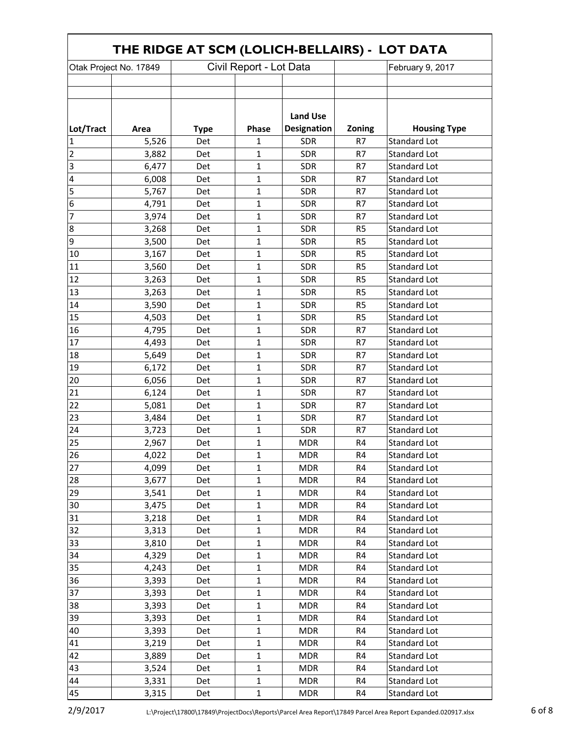| THE RIDGE AT SCM (LOLICH-BELLAIRS) - LOT DATA |       |             |                         |                    |                |                     |  |  |
|-----------------------------------------------|-------|-------------|-------------------------|--------------------|----------------|---------------------|--|--|
| Otak Project No. 17849                        |       |             | Civil Report - Lot Data |                    |                | February 9, 2017    |  |  |
|                                               |       |             |                         |                    |                |                     |  |  |
|                                               |       |             |                         |                    |                |                     |  |  |
|                                               |       |             |                         |                    |                |                     |  |  |
|                                               |       |             |                         | <b>Land Use</b>    |                |                     |  |  |
| Lot/Tract                                     | Area  | <b>Type</b> | Phase                   | <b>Designation</b> | Zoning         | <b>Housing Type</b> |  |  |
| $\mathbf{1}$                                  | 5,526 | Det         | 1                       | <b>SDR</b>         | R7             | <b>Standard Lot</b> |  |  |
| $\overline{2}$                                | 3,882 | Det         | 1                       | <b>SDR</b>         | R7             | <b>Standard Lot</b> |  |  |
| $\overline{3}$                                | 6,477 | Det         | $\mathbf 1$             | <b>SDR</b>         | R7             | <b>Standard Lot</b> |  |  |
| 4                                             | 6,008 | Det         | $\mathbf{1}$            | <b>SDR</b>         | R7             | <b>Standard Lot</b> |  |  |
| 5                                             | 5,767 | Det         | 1                       | <b>SDR</b>         | R7             | <b>Standard Lot</b> |  |  |
| 6                                             | 4,791 | Det         | 1                       | <b>SDR</b>         | R7             | <b>Standard Lot</b> |  |  |
| 7                                             | 3,974 | Det         | 1                       | <b>SDR</b>         | R7             | Standard Lot        |  |  |
| $\bf 8$                                       | 3,268 | Det         | 1                       | <b>SDR</b>         | R <sub>5</sub> | <b>Standard Lot</b> |  |  |
| 9                                             | 3,500 | Det         | 1                       | <b>SDR</b>         | R <sub>5</sub> | <b>Standard Lot</b> |  |  |
| 10                                            | 3,167 | Det         | 1                       | <b>SDR</b>         | R <sub>5</sub> | <b>Standard Lot</b> |  |  |
| 11                                            | 3,560 | Det         | 1                       | <b>SDR</b>         | R <sub>5</sub> | <b>Standard Lot</b> |  |  |
| 12                                            | 3,263 | Det         | $\mathbf{1}$            | <b>SDR</b>         | R <sub>5</sub> | <b>Standard Lot</b> |  |  |
| 13                                            | 3,263 | Det         | 1                       | <b>SDR</b>         | R <sub>5</sub> | <b>Standard Lot</b> |  |  |
| 14                                            | 3,590 | Det         | 1                       | <b>SDR</b>         | R <sub>5</sub> | <b>Standard Lot</b> |  |  |
| 15                                            | 4,503 | Det         | 1                       | <b>SDR</b>         | R <sub>5</sub> | <b>Standard Lot</b> |  |  |
| 16                                            | 4,795 | Det         | 1                       | <b>SDR</b>         | R7             | <b>Standard Lot</b> |  |  |
| 17                                            | 4,493 | Det         | 1                       | <b>SDR</b>         | R7             | <b>Standard Lot</b> |  |  |
| 18                                            | 5,649 | Det         | 1                       | <b>SDR</b>         | R7             | <b>Standard Lot</b> |  |  |
| 19                                            | 6,172 | Det         | 1                       | <b>SDR</b>         | R7             | <b>Standard Lot</b> |  |  |
| 20                                            | 6,056 | Det         | 1                       | <b>SDR</b>         | R7             | <b>Standard Lot</b> |  |  |
| 21                                            | 6,124 | Det         | 1                       | <b>SDR</b>         | R7             | <b>Standard Lot</b> |  |  |
| 22                                            | 5,081 | Det         | 1                       | <b>SDR</b>         | R7             | <b>Standard Lot</b> |  |  |
| 23                                            | 3,484 | Det         | 1                       | <b>SDR</b>         | R7             | Standard Lot        |  |  |
| 24                                            | 3,723 | Det         | 1                       | <b>SDR</b>         | R7             | <b>Standard Lot</b> |  |  |
| 25                                            | 2,967 | Det         | 1                       | <b>MDR</b>         | R4             | Standard Lot        |  |  |
| 26                                            | 4,022 | Det         | 1                       | <b>MDR</b>         | R4             | Standard Lot        |  |  |
| 27                                            | 4,099 | Det         | 1                       | MDR                | R4             | Standard Lot        |  |  |
| 28                                            | 3,677 | Det         | $\mathbf{1}$            | <b>MDR</b>         | R4             | <b>Standard Lot</b> |  |  |
| 29                                            | 3,541 | Det         | $\mathbf{1}$            | <b>MDR</b>         | R4             | Standard Lot        |  |  |
| 30                                            | 3,475 | Det         | $\mathbf{1}$            | <b>MDR</b>         | R4             | <b>Standard Lot</b> |  |  |
| 31                                            | 3,218 | Det         | $\mathbf 1$             | <b>MDR</b>         | R4             | <b>Standard Lot</b> |  |  |
| 32                                            | 3,313 | Det         | 1                       | <b>MDR</b>         | R4             | <b>Standard Lot</b> |  |  |
| 33                                            | 3,810 | Det         | 1                       | <b>MDR</b>         | R4             | <b>Standard Lot</b> |  |  |
| 34                                            | 4,329 | Det         | $\mathbf{1}$            | <b>MDR</b>         | R4             | <b>Standard Lot</b> |  |  |
| 35                                            | 4,243 | Det         | $\mathbf 1$             | <b>MDR</b>         | R4             | <b>Standard Lot</b> |  |  |
| 36                                            | 3,393 | Det         | $\mathbf 1$             | <b>MDR</b>         | R4             | <b>Standard Lot</b> |  |  |
| 37                                            | 3,393 | Det         | 1                       | <b>MDR</b>         | R4             | <b>Standard Lot</b> |  |  |
| 38                                            | 3,393 | Det         | $\mathbf{1}$            | <b>MDR</b>         | R4             | <b>Standard Lot</b> |  |  |
| 39                                            | 3,393 | Det         | $\mathbf 1$             | <b>MDR</b>         | R4             | <b>Standard Lot</b> |  |  |
| 40                                            | 3,393 | Det         | $\mathbf 1$             | <b>MDR</b>         | R4             | <b>Standard Lot</b> |  |  |
| 41                                            | 3,219 | Det         | 1                       | <b>MDR</b>         | R4             | Standard Lot        |  |  |
| 42                                            | 3,889 | Det         | 1                       | <b>MDR</b>         | R4             | Standard Lot        |  |  |
| 43                                            | 3,524 | Det         | $\mathbf{1}$            | <b>MDR</b>         | R4             | <b>Standard Lot</b> |  |  |
| 44                                            | 3,331 | Det         | $\mathbf{1}$            | <b>MDR</b>         | R4             | <b>Standard Lot</b> |  |  |
| 45                                            | 3,315 | Det         | $\mathbf 1$             | <b>MDR</b>         | R4             | Standard Lot        |  |  |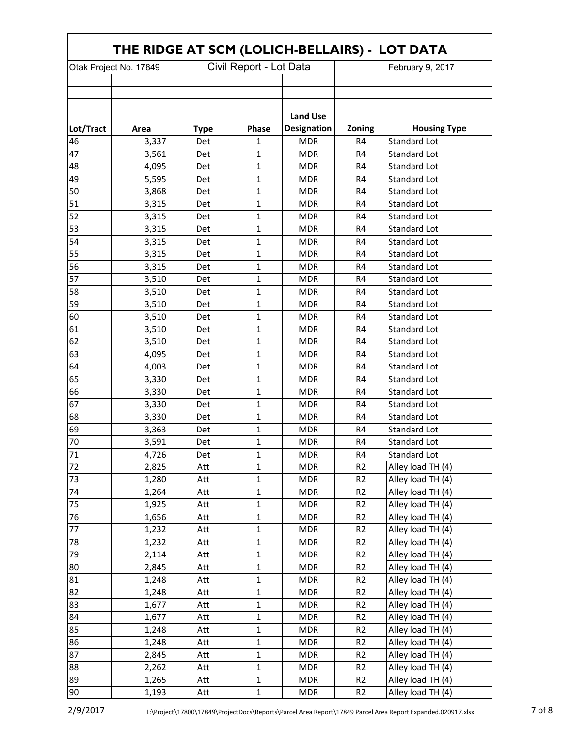| THE RIDGE AT SCM (LOLICH-BELLAIRS) - LOT DATA |       |             |                         |                    |                |                     |  |  |
|-----------------------------------------------|-------|-------------|-------------------------|--------------------|----------------|---------------------|--|--|
| Otak Project No. 17849                        |       |             | Civil Report - Lot Data |                    |                | February 9, 2017    |  |  |
|                                               |       |             |                         |                    |                |                     |  |  |
|                                               |       |             |                         |                    |                |                     |  |  |
|                                               |       |             |                         | <b>Land Use</b>    |                |                     |  |  |
| Lot/Tract                                     | Area  | <b>Type</b> | Phase                   | <b>Designation</b> | Zoning         | <b>Housing Type</b> |  |  |
| 46                                            | 3,337 | Det         | 1                       | <b>MDR</b>         | R4             | <b>Standard Lot</b> |  |  |
| 47                                            | 3,561 | Det         | 1                       | <b>MDR</b>         | R4             | <b>Standard Lot</b> |  |  |
| 48                                            | 4,095 | Det         | 1                       | <b>MDR</b>         | R4             | <b>Standard Lot</b> |  |  |
| 49                                            | 5,595 | Det         | 1                       | <b>MDR</b>         | R <sub>4</sub> | <b>Standard Lot</b> |  |  |
| 50                                            | 3,868 | Det         | 1                       | <b>MDR</b>         | R4             | <b>Standard Lot</b> |  |  |
| 51                                            | 3,315 | Det         | 1                       | <b>MDR</b>         | R <sub>4</sub> | <b>Standard Lot</b> |  |  |
| 52                                            | 3,315 | Det         | 1                       | <b>MDR</b>         | R4             | Standard Lot        |  |  |
| 53                                            | 3,315 | Det         | 1                       | <b>MDR</b>         | R4             | Standard Lot        |  |  |
| 54                                            | 3,315 | Det         | 1                       | <b>MDR</b>         | R <sub>4</sub> | <b>Standard Lot</b> |  |  |
| 55                                            | 3,315 | Det         | 1                       | <b>MDR</b>         | R4             | <b>Standard Lot</b> |  |  |
| 56                                            | 3,315 | Det         | 1                       | <b>MDR</b>         | R4             | <b>Standard Lot</b> |  |  |
| 57                                            | 3,510 | Det         | $\mathbf{1}$            | <b>MDR</b>         | R <sub>4</sub> | <b>Standard Lot</b> |  |  |
| 58                                            | 3,510 | Det         | 1                       | <b>MDR</b>         | R4             | <b>Standard Lot</b> |  |  |
| 59                                            | 3,510 | Det         | 1                       | <b>MDR</b>         | R <sub>4</sub> | <b>Standard Lot</b> |  |  |
| 60                                            | 3,510 | Det         | 1                       | <b>MDR</b>         | R4             | Standard Lot        |  |  |
| 61                                            | 3,510 | Det         | 1                       | <b>MDR</b>         | R <sub>4</sub> | <b>Standard Lot</b> |  |  |
| 62                                            | 3,510 | Det         | 1                       | <b>MDR</b>         | R4             | <b>Standard Lot</b> |  |  |
| 63                                            | 4,095 | Det         | 1                       | <b>MDR</b>         | R4             | <b>Standard Lot</b> |  |  |
| 64                                            | 4,003 | Det         | 1                       | <b>MDR</b>         | R <sub>4</sub> | Standard Lot        |  |  |
| 65                                            | 3,330 | Det         | 1                       | <b>MDR</b>         | R4             | Standard Lot        |  |  |
| 66                                            | 3,330 | Det         | 1                       | <b>MDR</b>         | R4             | Standard Lot        |  |  |
| 67                                            | 3,330 | Det         | 1                       | <b>MDR</b>         | R4             | <b>Standard Lot</b> |  |  |
| 68                                            | 3,330 | Det         | 1                       | <b>MDR</b>         | R4             | Standard Lot        |  |  |
| 69                                            | 3,363 | Det         | 1                       | <b>MDR</b>         | R4             | <b>Standard Lot</b> |  |  |
| 70                                            | 3,591 | Det         | 1                       | <b>MDR</b>         | R4             | Standard Lot        |  |  |
| 71                                            | 4,726 | Det         | $\mathbf 1$             | <b>MDR</b>         | R4             | Standard Lot        |  |  |
| 72                                            | 2,825 | Att         | $\mathbf{1}$            | MDR                | R <sub>2</sub> | Alley load TH (4)   |  |  |
| 73                                            | 1,280 | Att         | $\mathbf{1}$            | <b>MDR</b>         | R <sub>2</sub> | Alley load TH (4)   |  |  |
| 74                                            | 1,264 | Att         | $\mathbf{1}$            | <b>MDR</b>         | R <sub>2</sub> | Alley load TH (4)   |  |  |
| 75                                            | 1,925 | Att         | $\mathbf{1}$            | <b>MDR</b>         | R <sub>2</sub> | Alley load TH (4)   |  |  |
| 76                                            | 1,656 | Att         | $\mathbf{1}$            | <b>MDR</b>         | R <sub>2</sub> | Alley load TH (4)   |  |  |
| 77                                            | 1,232 | Att         | $\mathbf 1$             | <b>MDR</b>         | R <sub>2</sub> | Alley load TH (4)   |  |  |
| 78                                            | 1,232 | Att         | $\mathbf{1}$            | <b>MDR</b>         | R <sub>2</sub> | Alley load TH (4)   |  |  |
| 79                                            | 2,114 | Att         | $\mathbf{1}$            | <b>MDR</b>         | R <sub>2</sub> | Alley load TH (4)   |  |  |
| 80                                            | 2,845 | Att         | $\mathbf{1}$            | <b>MDR</b>         | R <sub>2</sub> | Alley load TH (4)   |  |  |
| 81                                            | 1,248 | Att         | $\mathbf 1$             | <b>MDR</b>         | R <sub>2</sub> | Alley load TH (4)   |  |  |
| 82                                            | 1,248 | Att         | $\mathbf{1}$            | <b>MDR</b>         | R <sub>2</sub> | Alley load TH (4)   |  |  |
| 83                                            | 1,677 | Att         | $\mathbf{1}$            | <b>MDR</b>         | R <sub>2</sub> | Alley load TH (4)   |  |  |
| 84                                            | 1,677 | Att         | $\mathbf{1}$            | <b>MDR</b>         | R <sub>2</sub> | Alley load TH (4)   |  |  |
| 85                                            | 1,248 | Att         | $\mathbf 1$             | <b>MDR</b>         | R <sub>2</sub> | Alley load TH (4)   |  |  |
| 86                                            | 1,248 | Att         | $\mathbf{1}$            | <b>MDR</b>         | R <sub>2</sub> | Alley load TH (4)   |  |  |
| 87                                            | 2,845 | Att         | $\mathbf 1$             | <b>MDR</b>         | R <sub>2</sub> | Alley load TH (4)   |  |  |
| 88                                            | 2,262 | Att         | $\mathbf{1}$            | <b>MDR</b>         | R <sub>2</sub> | Alley load TH (4)   |  |  |
| 89                                            | 1,265 | Att         | $\mathbf 1$             | <b>MDR</b>         | R <sub>2</sub> | Alley load TH (4)   |  |  |
| 90                                            | 1,193 | Att         | $\mathbf 1$             | <b>MDR</b>         | R <sub>2</sub> | Alley load TH (4)   |  |  |